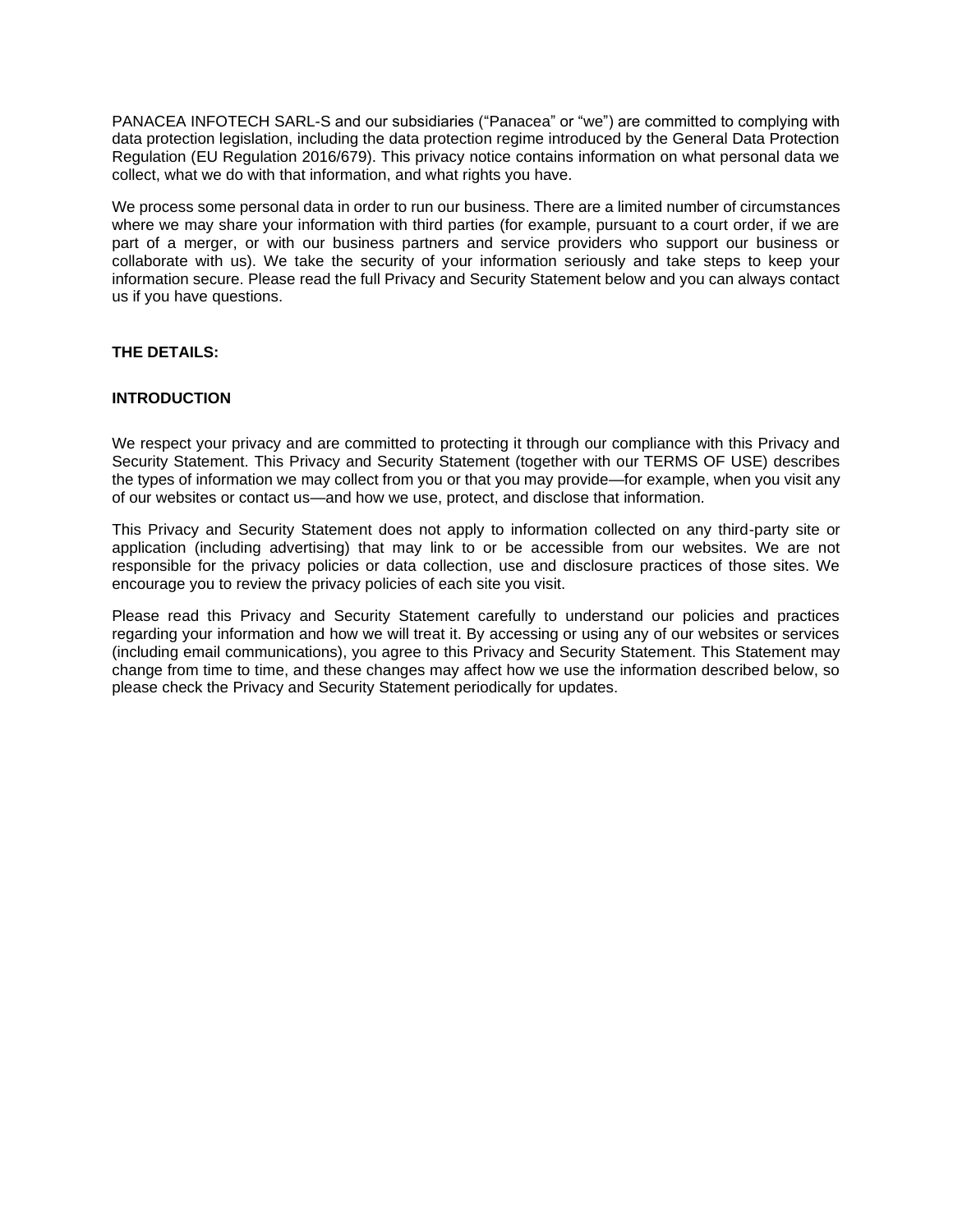PANACEA INFOTECH SARL-S and our subsidiaries ("Panacea" or "we") are committed to complying with data protection legislation, including the data protection regime introduced by the General Data Protection Regulation (EU Regulation 2016/679). This privacy notice contains information on what personal data we collect, what we do with that information, and what rights you have.

We process some personal data in order to run our business. There are a limited number of circumstances where we may share your information with third parties (for example, pursuant to a court order, if we are part of a merger, or with our business partners and service providers who support our business or collaborate with us). We take the security of your information seriously and take steps to keep your information secure. Please read the full Privacy and Security Statement below and you can always contact us if you have questions.

# **THE DETAILS:**

### **INTRODUCTION**

We respect your privacy and are committed to protecting it through our compliance with this Privacy and Security Statement. This Privacy and Security Statement (together with our TERMS OF USE) describes the types of information we may collect from you or that you may provide—for example, when you visit any of our websites or contact us—and how we use, protect, and disclose that information.

This Privacy and Security Statement does not apply to information collected on any third-party site or application (including advertising) that may link to or be accessible from our websites. We are not responsible for the privacy policies or data collection, use and disclosure practices of those sites. We encourage you to review the privacy policies of each site you visit.

Please read this Privacy and Security Statement carefully to understand our policies and practices regarding your information and how we will treat it. By accessing or using any of our websites or services (including email communications), you agree to this Privacy and Security Statement. This Statement may change from time to time, and these changes may affect how we use the information described below, so please check the Privacy and Security Statement periodically for updates.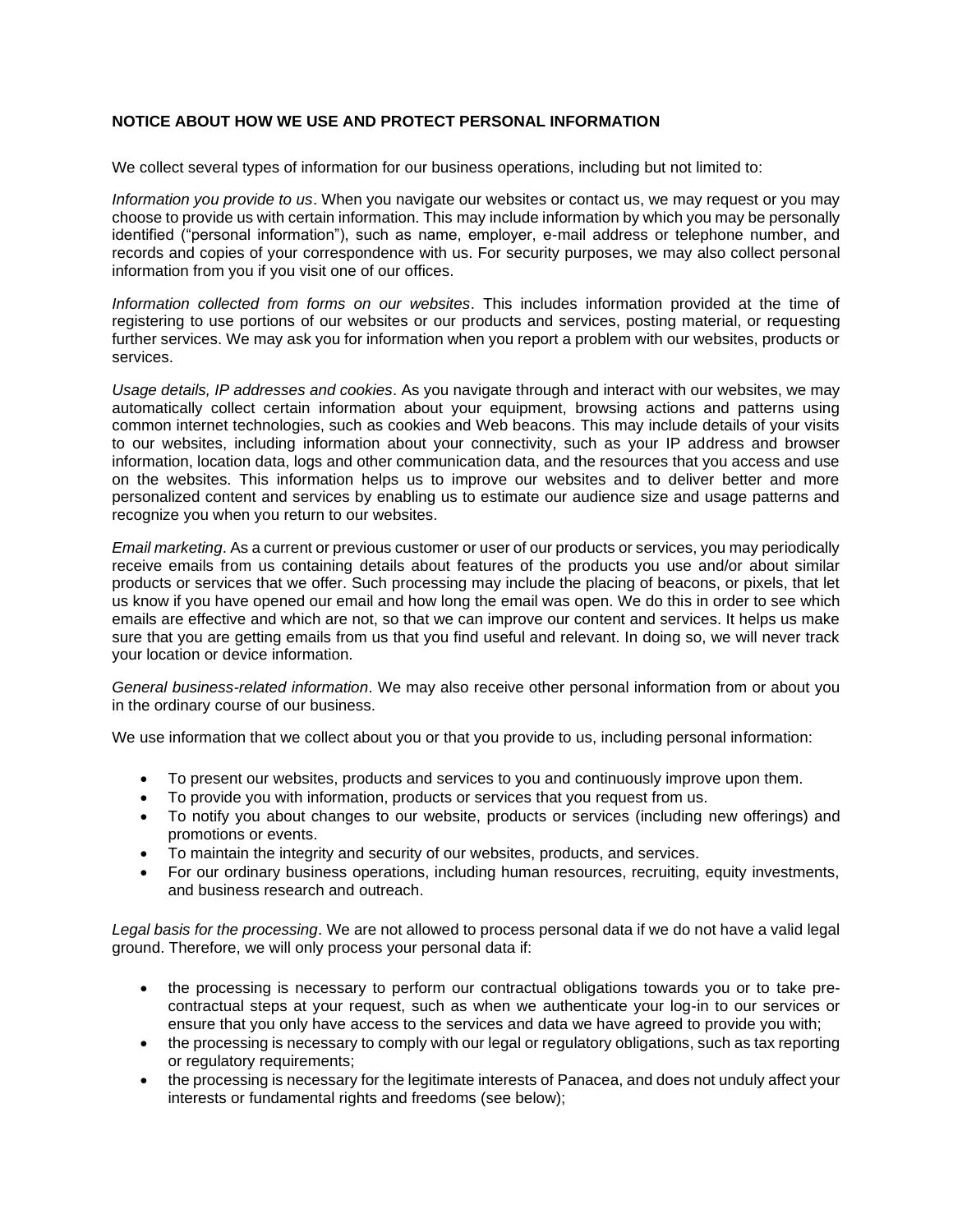# **NOTICE ABOUT HOW WE USE AND PROTECT PERSONAL INFORMATION**

We collect several types of information for our business operations, including but not limited to:

*Information you provide to us*. When you navigate our websites or contact us, we may request or you may choose to provide us with certain information. This may include information by which you may be personally identified ("personal information"), such as name, employer, e-mail address or telephone number, and records and copies of your correspondence with us. For security purposes, we may also collect personal information from you if you visit one of our offices.

*Information collected from forms on our websites*. This includes information provided at the time of registering to use portions of our websites or our products and services, posting material, or requesting further services. We may ask you for information when you report a problem with our websites, products or services.

*Usage details, IP addresses and cookies*. As you navigate through and interact with our websites, we may automatically collect certain information about your equipment, browsing actions and patterns using common internet technologies, such as cookies and Web beacons. This may include details of your visits to our websites, including information about your connectivity, such as your IP address and browser information, location data, logs and other communication data, and the resources that you access and use on the websites. This information helps us to improve our websites and to deliver better and more personalized content and services by enabling us to estimate our audience size and usage patterns and recognize you when you return to our websites.

*Email marketing*. As a current or previous customer or user of our products or services, you may periodically receive emails from us containing details about features of the products you use and/or about similar products or services that we offer. Such processing may include the placing of beacons, or pixels, that let us know if you have opened our email and how long the email was open. We do this in order to see which emails are effective and which are not, so that we can improve our content and services. It helps us make sure that you are getting emails from us that you find useful and relevant. In doing so, we will never track your location or device information.

*General business-related information*. We may also receive other personal information from or about you in the ordinary course of our business.

We use information that we collect about you or that you provide to us, including personal information:

- To present our websites, products and services to you and continuously improve upon them.
- To provide you with information, products or services that you request from us.
- To notify you about changes to our website, products or services (including new offerings) and promotions or events.
- To maintain the integrity and security of our websites, products, and services.
- For our ordinary business operations, including human resources, recruiting, equity investments, and business research and outreach.

*Legal basis for the processing*. We are not allowed to process personal data if we do not have a valid legal ground. Therefore, we will only process your personal data if:

- the processing is necessary to perform our contractual obligations towards you or to take precontractual steps at your request, such as when we authenticate your log-in to our services or ensure that you only have access to the services and data we have agreed to provide you with;
- the processing is necessary to comply with our legal or regulatory obligations, such as tax reporting or regulatory requirements;
- the processing is necessary for the legitimate interests of Panacea, and does not unduly affect your interests or fundamental rights and freedoms (see below);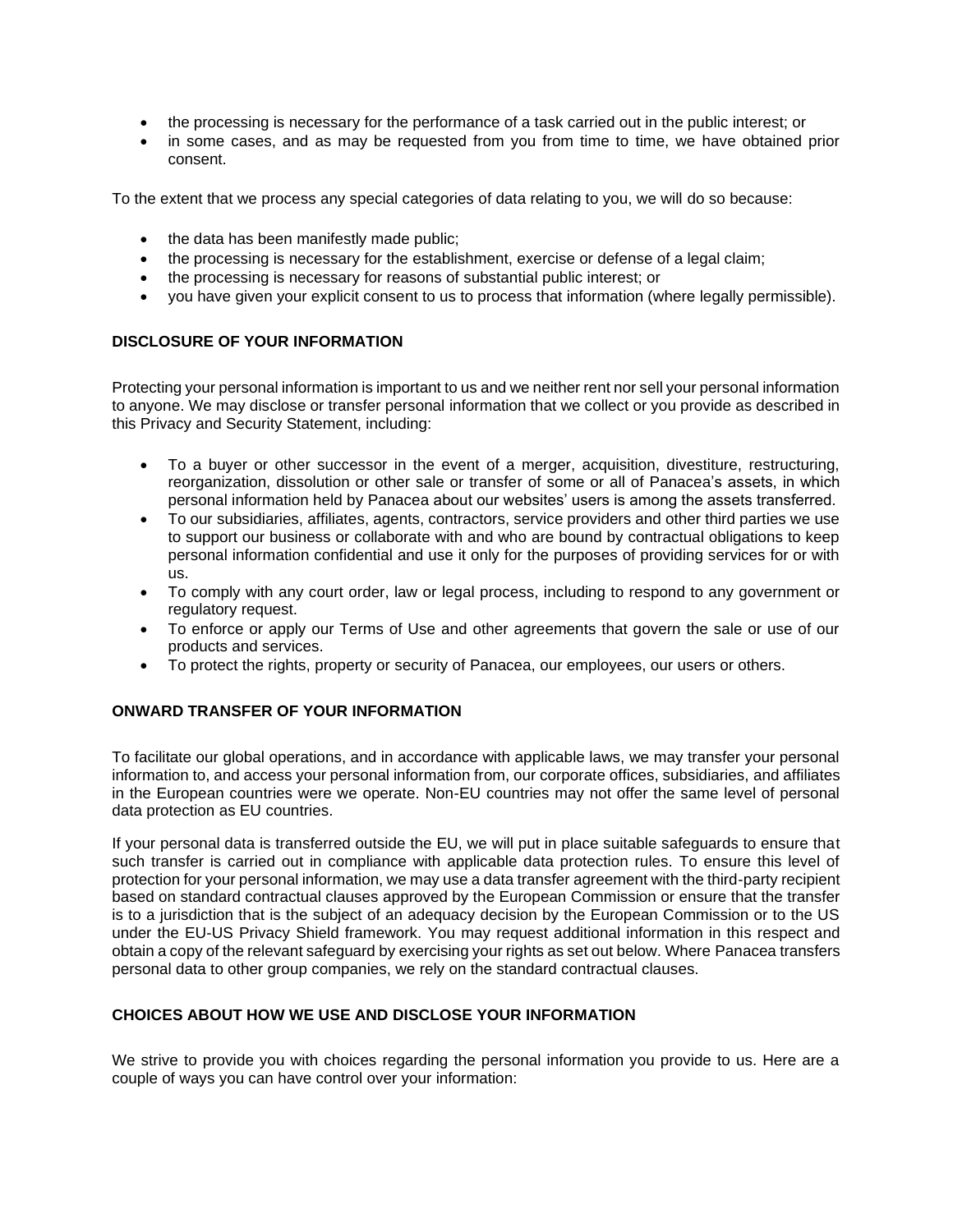- the processing is necessary for the performance of a task carried out in the public interest; or
- in some cases, and as may be requested from you from time to time, we have obtained prior consent.

To the extent that we process any special categories of data relating to you, we will do so because:

- the data has been manifestly made public;
- the processing is necessary for the establishment, exercise or defense of a legal claim;
- the processing is necessary for reasons of substantial public interest; or
- you have given your explicit consent to us to process that information (where legally permissible).

# **DISCLOSURE OF YOUR INFORMATION**

Protecting your personal information is important to us and we neither rent nor sell your personal information to anyone. We may disclose or transfer personal information that we collect or you provide as described in this Privacy and Security Statement, including:

- To a buyer or other successor in the event of a merger, acquisition, divestiture, restructuring, reorganization, dissolution or other sale or transfer of some or all of Panacea's assets, in which personal information held by Panacea about our websites' users is among the assets transferred.
- To our subsidiaries, affiliates, agents, contractors, service providers and other third parties we use to support our business or collaborate with and who are bound by contractual obligations to keep personal information confidential and use it only for the purposes of providing services for or with us.
- To comply with any court order, law or legal process, including to respond to any government or regulatory request.
- To enforce or apply our Terms of Use and other agreements that govern the sale or use of our products and services.
- To protect the rights, property or security of Panacea, our employees, our users or others.

# **ONWARD TRANSFER OF YOUR INFORMATION**

To facilitate our global operations, and in accordance with applicable laws, we may transfer your personal information to, and access your personal information from, our corporate offices, subsidiaries, and affiliates in the European countries were we operate. Non-EU countries may not offer the same level of personal data protection as EU countries.

If your personal data is transferred outside the EU, we will put in place suitable safeguards to ensure that such transfer is carried out in compliance with applicable data protection rules. To ensure this level of protection for your personal information, we may use a data transfer agreement with the third-party recipient based on standard contractual clauses approved by the European Commission or ensure that the transfer is to a jurisdiction that is the subject of an adequacy decision by the European Commission or to the US under the EU-US Privacy Shield framework. You may request additional information in this respect and obtain a copy of the relevant safeguard by exercising your rights as set out below. Where Panacea transfers personal data to other group companies, we rely on the standard contractual clauses.

### **CHOICES ABOUT HOW WE USE AND DISCLOSE YOUR INFORMATION**

We strive to provide you with choices regarding the personal information you provide to us. Here are a couple of ways you can have control over your information: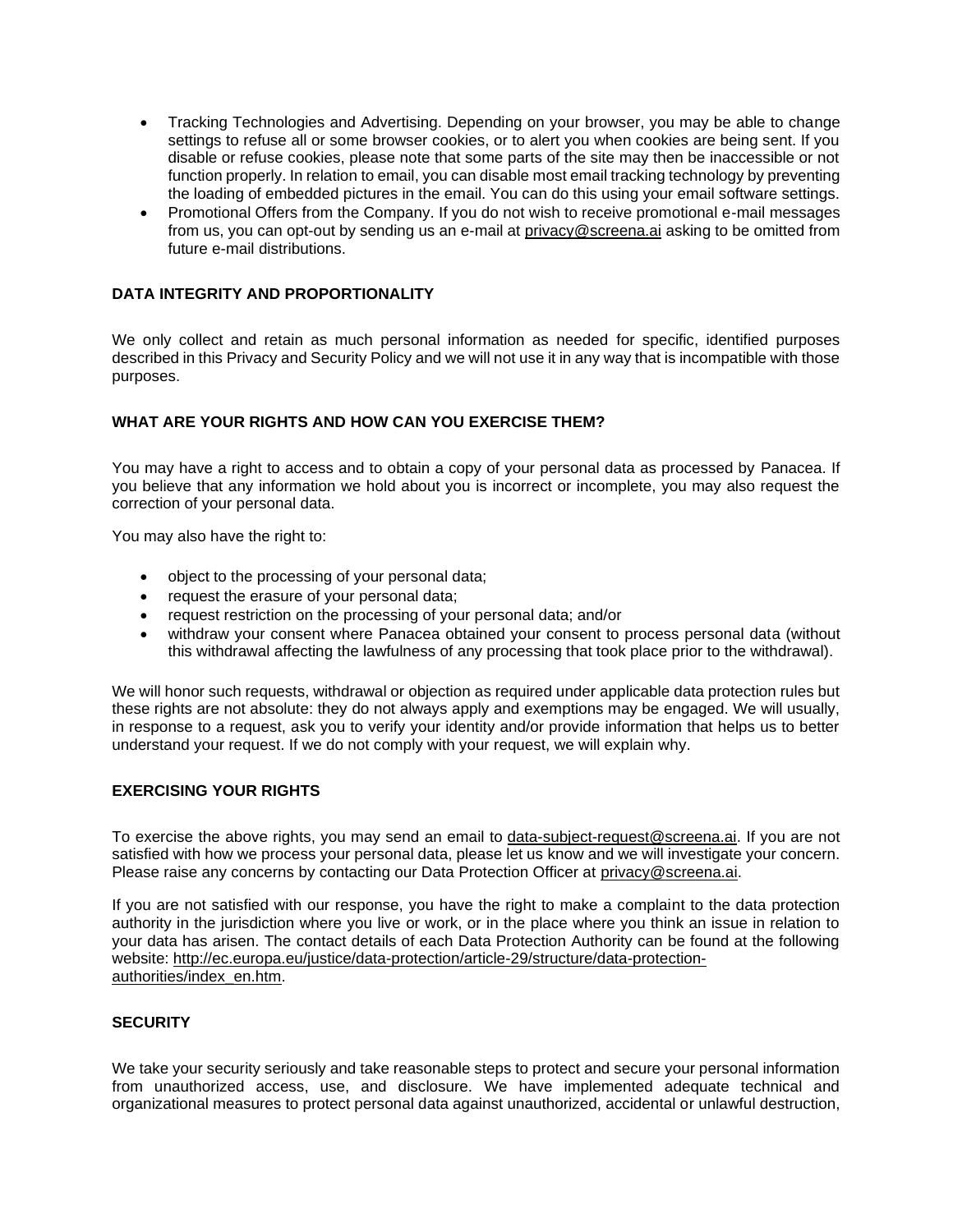- Tracking Technologies and Advertising. Depending on your browser, you may be able to change settings to refuse all or some browser cookies, or to alert you when cookies are being sent. If you disable or refuse cookies, please note that some parts of the site may then be inaccessible or not function properly. In relation to email, you can disable most email tracking technology by preventing the loading of embedded pictures in the email. You can do this using your email software settings.
- Promotional Offers from the Company. If you do not wish to receive promotional e-mail messages from us, you can opt-out by sending us an e-mail at [privacy@screena.ai](mailto:privacy@screena.ai) asking to be omitted from future e-mail distributions.

# **DATA INTEGRITY AND PROPORTIONALITY**

We only collect and retain as much personal information as needed for specific, identified purposes described in this Privacy and Security Policy and we will not use it in any way that is incompatible with those purposes.

## **WHAT ARE YOUR RIGHTS AND HOW CAN YOU EXERCISE THEM?**

You may have a right to access and to obtain a copy of your personal data as processed by Panacea. If you believe that any information we hold about you is incorrect or incomplete, you may also request the correction of your personal data.

You may also have the right to:

- object to the processing of your personal data;
- request the erasure of your personal data;
- request restriction on the processing of your personal data; and/or
- withdraw your consent where Panacea obtained your consent to process personal data (without this withdrawal affecting the lawfulness of any processing that took place prior to the withdrawal).

We will honor such requests, withdrawal or objection as required under applicable data protection rules but these rights are not absolute: they do not always apply and exemptions may be engaged. We will usually, in response to a request, ask you to verify your identity and/or provide information that helps us to better understand your request. If we do not comply with your request, we will explain why.

## **EXERCISING YOUR RIGHTS**

To exercise the above rights, you may send an email to [data-subject-request@screena.ai.](mailto:data-subject-request@screena.ai) If you are not satisfied with how we process your personal data, please let us know and we will investigate your concern. Please raise any concerns by contacting our Data Protection Officer at [privacy@screena.ai.](mailto:privacy@screena.ai)

If you are not satisfied with our response, you have the right to make a complaint to the data protection authority in the jurisdiction where you live or work, or in the place where you think an issue in relation to your data has arisen. The contact details of each Data Protection Authority can be found at the following website: [http://ec.europa.eu/justice/data-protection/article-29/structure/data-protection](http://ec.europa.eu/justice/data-protection/article-29/structure/data-protection-authorities/index_en.htm)[authorities/index\\_en.htm.](http://ec.europa.eu/justice/data-protection/article-29/structure/data-protection-authorities/index_en.htm)

### **SECURITY**

We take your security seriously and take reasonable steps to protect and secure your personal information from unauthorized access, use, and disclosure. We have implemented adequate technical and organizational measures to protect personal data against unauthorized, accidental or unlawful destruction,